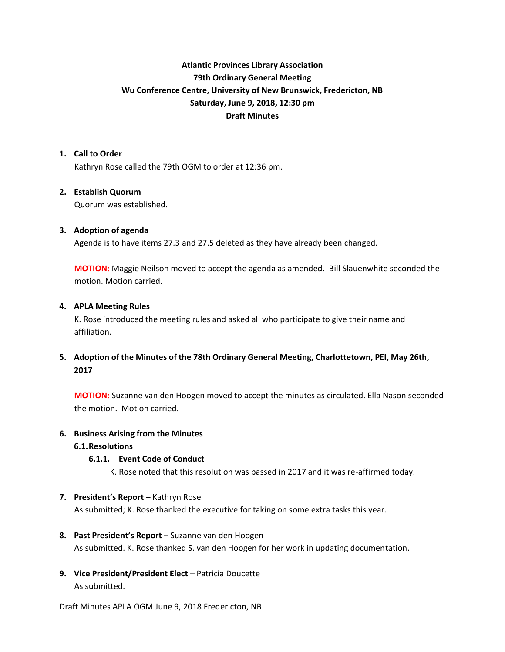# **Atlantic Provinces Library Association 79th Ordinary General Meeting Wu Conference Centre, University of New Brunswick, Fredericton, NB Saturday, June 9, 2018, 12:30 pm Draft Minutes**

### **1. Call to Order**

Kathryn Rose called the 79th OGM to order at 12:36 pm.

### **2. Establish Quorum**

Quorum was established.

### **3. Adoption of agenda**

Agenda is to have items 27.3 and 27.5 deleted as they have already been changed.

**MOTION:** Maggie Neilson moved to accept the agenda as amended. Bill Slauenwhite seconded the motion. Motion carried.

### **4. APLA Meeting Rules**

K. Rose introduced the meeting rules and asked all who participate to give their name and affiliation.

**5. Adoption of the Minutes of the 78th Ordinary General Meeting, Charlottetown, PEI, May 26th, 2017**

**MOTION:** Suzanne van den Hoogen moved to accept the minutes as circulated. Ella Nason seconded the motion. Motion carried.

#### **6. Business Arising from the Minutes**

**6.1.Resolutions**

#### **6.1.1. Event Code of Conduct**

K. Rose noted that this resolution was passed in 2017 and it was re-affirmed today.

# **7. President's Report** – Kathryn Rose

As submitted; K. Rose thanked the executive for taking on some extra tasks this year.

#### **8. Past President's Report** – Suzanne van den Hoogen

As submitted. K. Rose thanked S. van den Hoogen for her work in updating documentation.

**9. Vice President/President Elect** – Patricia Doucette As submitted.

Draft Minutes APLA OGM June 9, 2018 Fredericton, NB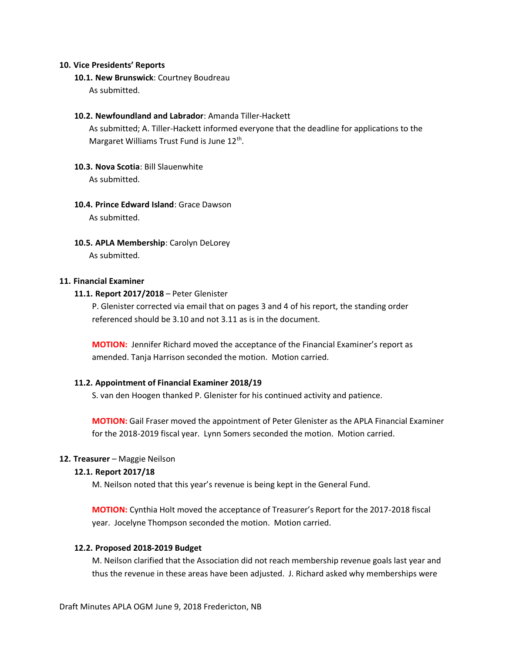#### **10. Vice Presidents' Reports**

**10.1. New Brunswick**: Courtney Boudreau

As submitted.

### **10.2. Newfoundland and Labrador**: Amanda Tiller-Hackett

As submitted; A. Tiller-Hackett informed everyone that the deadline for applications to the Margaret Williams Trust Fund is June 12<sup>th</sup>.

### **10.3. Nova Scotia**: Bill Slauenwhite As submitted.

# **10.4. Prince Edward Island**: Grace Dawson As submitted.

**10.5. APLA Membership**: Carolyn DeLorey As submitted.

### **11. Financial Examiner**

# **11.1. Report 2017/2018** – Peter Glenister

P. Glenister corrected via email that on pages 3 and 4 of his report, the standing order referenced should be 3.10 and not 3.11 as is in the document.

**MOTION:** Jennifer Richard moved the acceptance of the Financial Examiner's report as amended. Tanja Harrison seconded the motion. Motion carried.

#### **11.2. Appointment of Financial Examiner 2018/19**

S. van den Hoogen thanked P. Glenister for his continued activity and patience.

**MOTION:** Gail Fraser moved the appointment of Peter Glenister as the APLA Financial Examiner for the 2018-2019 fiscal year. Lynn Somers seconded the motion. Motion carried.

### **12. Treasurer** – Maggie Neilson

#### **12.1. Report 2017/18**

M. Neilson noted that this year's revenue is being kept in the General Fund.

**MOTION:** Cynthia Holt moved the acceptance of Treasurer's Report for the 2017-2018 fiscal year. Jocelyne Thompson seconded the motion. Motion carried.

### **12.2. Proposed 2018-2019 Budget**

M. Neilson clarified that the Association did not reach membership revenue goals last year and thus the revenue in these areas have been adjusted. J. Richard asked why memberships were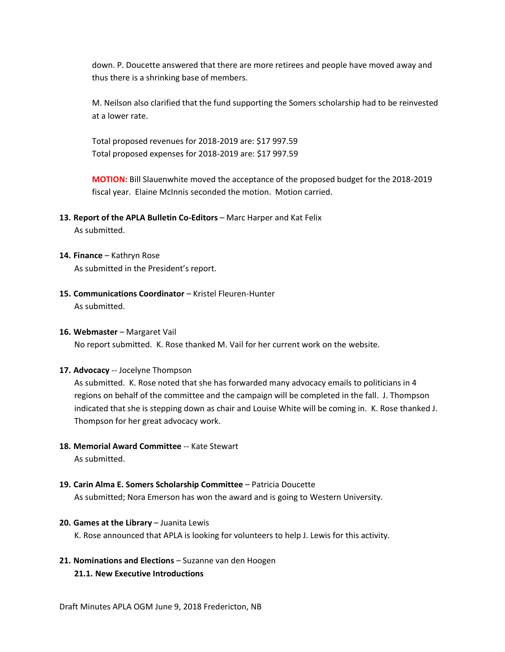down. P. Doucette answered that there are more retirees and people have moved away and thus there is a shrinking base of members.

M. Neilson also clarified that the fund supporting the Somers scholarship had to be reinvested at a lower rate.

Total proposed revenues for 2018-2019 are: \$17 997.59 Total proposed expenses for 2018-2019 are: \$17 997.59

**MOTION:** Bill Slauenwhite moved the acceptance of the proposed budget for the 2018-2019 fiscal year. Elaine McInnis seconded the motion. Motion carried.

**13. Report of the APLA Bulletin Co-Editors** – Marc Harper and Kat Felix

As submitted.

- **14. Finance** Kathryn Rose As submitted in the President's report.
- **15. Communications Coordinator** Kristel Fleuren-Hunter As submitted.

#### **16. Webmaster** – Margaret Vail

No report submitted. K. Rose thanked M. Vail for her current work on the website.

# **17. Advocacy** -- Jocelyne Thompson

As submitted. K. Rose noted that she has forwarded many advocacy emails to politicians in 4 regions on behalf of the committee and the campaign will be completed in the fall. J. Thompson indicated that she is stepping down as chair and Louise White will be coming in. K. Rose thanked J. Thompson for her great advocacy work.

**18. Memorial Award Committee** -- Kate Stewart

As submitted.

**19. Carin Alma E. Somers Scholarship Committee** – Patricia Doucette As submitted; Nora Emerson has won the award and is going to Western University.

# **20. Games at the Library** – Juanita Lewis

K. Rose announced that APLA is looking for volunteers to help J. Lewis for this activity.

**21. Nominations and Elections** – Suzanne van den Hoogen

# **21.1. New Executive Introductions**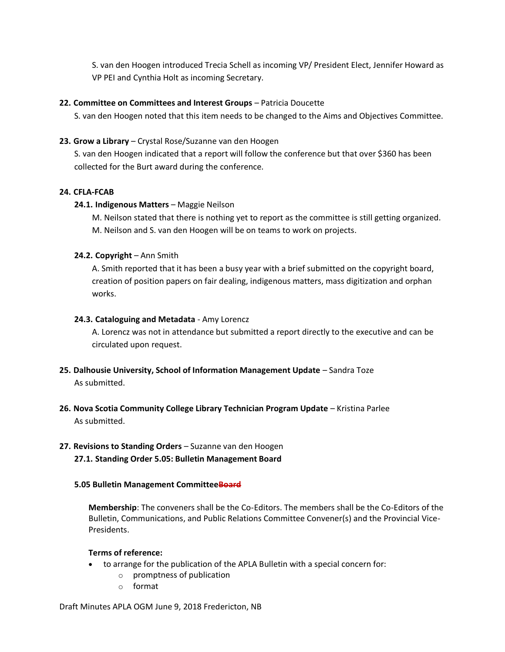S. van den Hoogen introduced Trecia Schell as incoming VP/ President Elect, Jennifer Howard as VP PEI and Cynthia Holt as incoming Secretary.

# **22. Committee on Committees and Interest Groups** – Patricia Doucette

S. van den Hoogen noted that this item needs to be changed to the Aims and Objectives Committee.

# **23. Grow a Library** – Crystal Rose/Suzanne van den Hoogen

S. van den Hoogen indicated that a report will follow the conference but that over \$360 has been collected for the Burt award during the conference.

# **24. CFLA-FCAB**

# **24.1. Indigenous Matters** – Maggie Neilson

M. Neilson stated that there is nothing yet to report as the committee is still getting organized. M. Neilson and S. van den Hoogen will be on teams to work on projects.

# **24.2. Copyright** – Ann Smith

A. Smith reported that it has been a busy year with a brief submitted on the copyright board, creation of position papers on fair dealing, indigenous matters, mass digitization and orphan works.

# **24.3. Cataloguing and Metadata** - Amy Lorencz

A. Lorencz was not in attendance but submitted a report directly to the executive and can be circulated upon request.

- **25. Dalhousie University, School of Information Management Update** Sandra Toze As submitted.
- **26. Nova Scotia Community College Library Technician Program Update** Kristina Parlee As submitted.

# **27. Revisions to Standing Orders** – Suzanne van den Hoogen **27.1. Standing Order 5.05: Bulletin Management Board**

# **5.05 Bulletin Management CommitteeBoard**

**Membership**: The conveners shall be the Co-Editors. The members shall be the Co-Editors of the Bulletin, Communications, and Public Relations Committee Convener(s) and the Provincial Vice-Presidents.

# **Terms of reference:**

- to arrange for the publication of the APLA Bulletin with a special concern for:
	- o promptness of publication
	- o format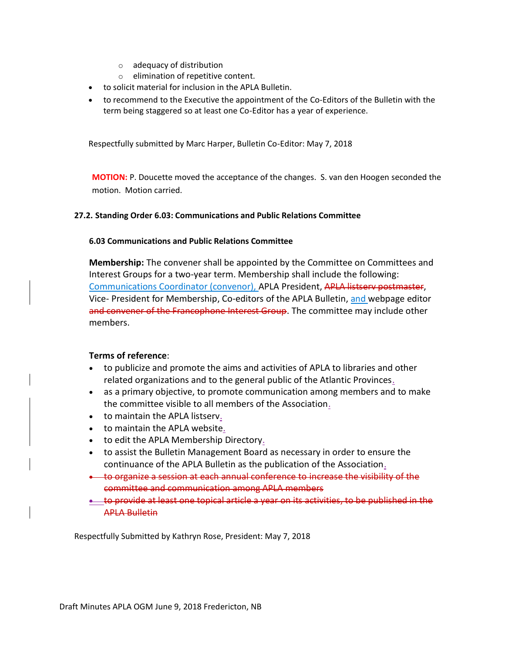- o adequacy of distribution
- o elimination of repetitive content.
- to solicit material for inclusion in the APLA Bulletin.
- to recommend to the Executive the appointment of the Co-Editors of the Bulletin with the term being staggered so at least one Co-Editor has a year of experience.

Respectfully submitted by Marc Harper, Bulletin Co-Editor: May 7, 2018

**MOTION:** P. Doucette moved the acceptance of the changes. S. van den Hoogen seconded the motion. Motion carried.

### **27.2. Standing Order 6.03: Communications and Public Relations Committee**

### **6.03 Communications and Public Relations Committee**

**Membership:** The convener shall be appointed by the Committee on Committees and Interest Groups for a two-year term. Membership shall include the following: Communications Coordinator (convenor), APLA President, APLA listserv postmaster, Vice- President for Membership, Co-editors of the APLA Bulletin, and webpage editor and convener of the Francophone Interest Group. The committee may include other members.

# **Terms of reference**:

- to publicize and promote the aims and activities of APLA to libraries and other related organizations and to the general public of the Atlantic Provinces.
- as a primary objective, to promote communication among members and to make the committee visible to all members of the Association.
- to maintain the APLA listserv.
- to maintain the APLA website.
- to edit the APLA Membership Directory.
- to assist the Bulletin Management Board as necessary in order to ensure the continuance of the APLA Bulletin as the publication of the Association.
- to organize a session at each annual conference to increase the visibility of the committee and communication among APLA members
- **<u>• to provide at least one topical article a year on its activities, to be published</u>** APLA Bulletin

Respectfully Submitted by Kathryn Rose, President: May 7, 2018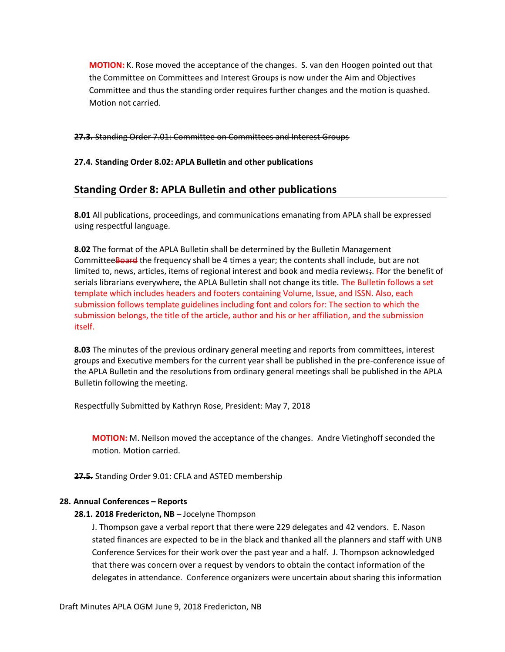**MOTION:** K. Rose moved the acceptance of the changes. S. van den Hoogen pointed out that the Committee on Committees and Interest Groups is now under the Aim and Objectives Committee and thus the standing order requires further changes and the motion is quashed. Motion not carried.

#### **27.3.** Standing Order 7.01: Committee on Committees and Interest Groups

**27.4. Standing Order 8.02: APLA Bulletin and other publications**

# **Standing Order 8: APLA Bulletin and other publications**

**8.01** All publications, proceedings, and communications emanating from APLA shall be expressed using respectful language.

**8.02** The format of the APLA Bulletin shall be determined by the Bulletin Management Committee Board the frequency shall be 4 times a year; the contents shall include, but are not limited to, news, articles, items of regional interest and book and media reviews;. Ffor the benefit of serials librarians everywhere, the APLA Bulletin shall not change its title. The Bulletin follows a set template which includes headers and footers containing Volume, Issue, and ISSN. Also, each submission follows template guidelines including font and colors for: The section to which the submission belongs, the title of the article, author and his or her affiliation, and the submission itself.

**8.03** The minutes of the previous ordinary general meeting and reports from committees, interest groups and Executive members for the current year shall be published in the pre-conference issue of the APLA Bulletin and the resolutions from ordinary general meetings shall be published in the APLA Bulletin following the meeting.

Respectfully Submitted by Kathryn Rose, President: May 7, 2018

**MOTION:** M. Neilson moved the acceptance of the changes. Andre Vietinghoff seconded the motion. Motion carried.

#### **27.5.** Standing Order 9.01: CFLA and ASTED membership

# **28. Annual Conferences – Reports**

#### **28.1. 2018 Fredericton, NB** – Jocelyne Thompson

J. Thompson gave a verbal report that there were 229 delegates and 42 vendors. E. Nason stated finances are expected to be in the black and thanked all the planners and staff with UNB Conference Services for their work over the past year and a half. J. Thompson acknowledged that there was concern over a request by vendors to obtain the contact information of the delegates in attendance. Conference organizers were uncertain about sharing this information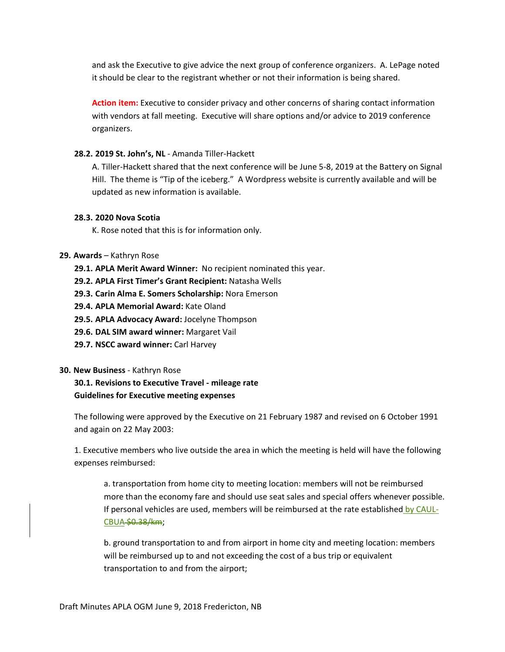and ask the Executive to give advice the next group of conference organizers. A. LePage noted it should be clear to the registrant whether or not their information is being shared.

**Action item:** Executive to consider privacy and other concerns of sharing contact information with vendors at fall meeting. Executive will share options and/or advice to 2019 conference organizers.

# **28.2. 2019 St. John's, NL** - Amanda Tiller-Hackett

A. Tiller-Hackett shared that the next conference will be June 5-8, 2019 at the Battery on Signal Hill. The theme is "Tip of the iceberg." A Wordpress website is currently available and will be updated as new information is available.

# **28.3. 2020 Nova Scotia**

K. Rose noted that this is for information only.

# **29. Awards** – Kathryn Rose

- **29.1. APLA Merit Award Winner:** No recipient nominated this year.
- **29.2. APLA First Timer's Grant Recipient:** Natasha Wells
- **29.3. Carin Alma E. Somers Scholarship:** Nora Emerson
- **29.4. APLA Memorial Award:** Kate Oland
- **29.5. APLA Advocacy Award:** Jocelyne Thompson
- **29.6. DAL SIM award winner:** Margaret Vail
- **29.7. NSCC award winner:** Carl Harvey

# **30. New Business** - Kathryn Rose

**30.1. Revisions to Executive Travel - mileage rate Guidelines for Executive meeting expenses** 

The following were approved by the Executive on 21 February 1987 and revised on 6 October 1991 and again on 22 May 2003:

1. Executive members who live outside the area in which the meeting is held will have the following expenses reimbursed:

a. transportation from home city to meeting location: members will not be reimbursed more than the economy fare and should use seat sales and special offers whenever possible. If personal vehicles are used, members will be reimbursed at the rate established by CAUL-CBUA \$0.38/km;

b. ground transportation to and from airport in home city and meeting location: members will be reimbursed up to and not exceeding the cost of a bus trip or equivalent transportation to and from the airport;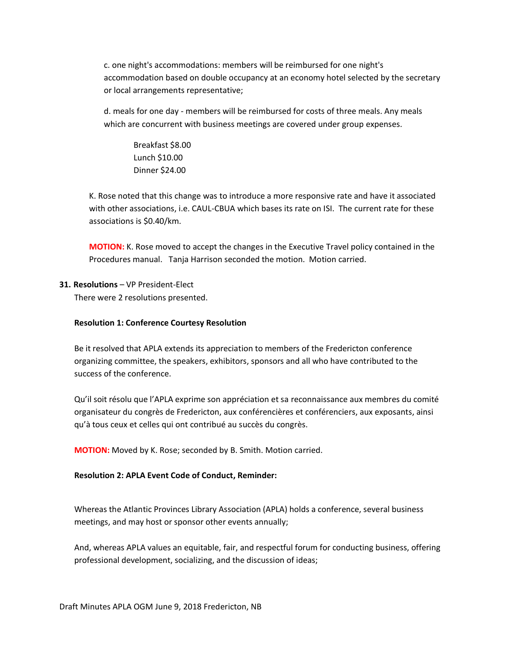c. one night's accommodations: members will be reimbursed for one night's accommodation based on double occupancy at an economy hotel selected by the secretary or local arrangements representative;

d. meals for one day - members will be reimbursed for costs of three meals. Any meals which are concurrent with business meetings are covered under group expenses.

Breakfast \$8.00 Lunch \$10.00 Dinner \$24.00

K. Rose noted that this change was to introduce a more responsive rate and have it associated with other associations, i.e. CAUL-CBUA which bases its rate on ISI. The current rate for these associations is \$0.40/km.

**MOTION:** K. Rose moved to accept the changes in the Executive Travel policy contained in the Procedures manual. Tanja Harrison seconded the motion. Motion carried.

# **31. Resolutions** – VP President-Elect

There were 2 resolutions presented.

### **Resolution 1: Conference Courtesy Resolution**

Be it resolved that APLA extends its appreciation to members of the Fredericton conference organizing committee, the speakers, exhibitors, sponsors and all who have contributed to the success of the conference.

Qu'il soit résolu que l'APLA exprime son appréciation et sa reconnaissance aux membres du comité organisateur du congrès de Fredericton, aux conférencières et conférenciers, aux exposants, ainsi qu'à tous ceux et celles qui ont contribué au succès du congrès.

**MOTION:** Moved by K. Rose; seconded by B. Smith. Motion carried.

# **Resolution 2: APLA Event Code of Conduct, Reminder:**

Whereas the Atlantic Provinces Library Association (APLA) holds a conference, several business meetings, and may host or sponsor other events annually;

And, whereas APLA values an equitable, fair, and respectful forum for conducting business, offering professional development, socializing, and the discussion of ideas;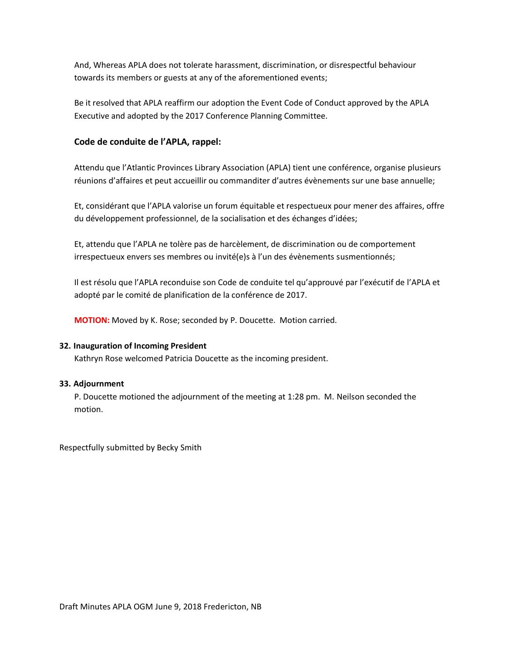And, Whereas APLA does not tolerate harassment, discrimination, or disrespectful behaviour towards its members or guests at any of the aforementioned events;

Be it resolved that APLA reaffirm our adoption the Event Code of Conduct approved by the APLA Executive and adopted by the 2017 Conference Planning Committee.

# **Code de conduite de l'APLA, rappel:**

Attendu que l'Atlantic Provinces Library Association (APLA) tient une conférence, organise plusieurs réunions d'affaires et peut accueillir ou commanditer d'autres évènements sur une base annuelle;

Et, considérant que l'APLA valorise un forum équitable et respectueux pour mener des affaires, offre du développement professionnel, de la socialisation et des échanges d'idées;

Et, attendu que l'APLA ne tolère pas de harcèlement, de discrimination ou de comportement irrespectueux envers ses membres ou invité(e)s à l'un des évènements susmentionnés;

Il est résolu que l'APLA reconduise son Code de conduite tel qu'approuvé par l'exécutif de l'APLA et adopté par le comité de planification de la conférence de 2017.

**MOTION:** Moved by K. Rose; seconded by P. Doucette. Motion carried.

# **32. Inauguration of Incoming President**

Kathryn Rose welcomed Patricia Doucette as the incoming president.

# **33. Adjournment**

P. Doucette motioned the adjournment of the meeting at 1:28 pm. M. Neilson seconded the motion.

Respectfully submitted by Becky Smith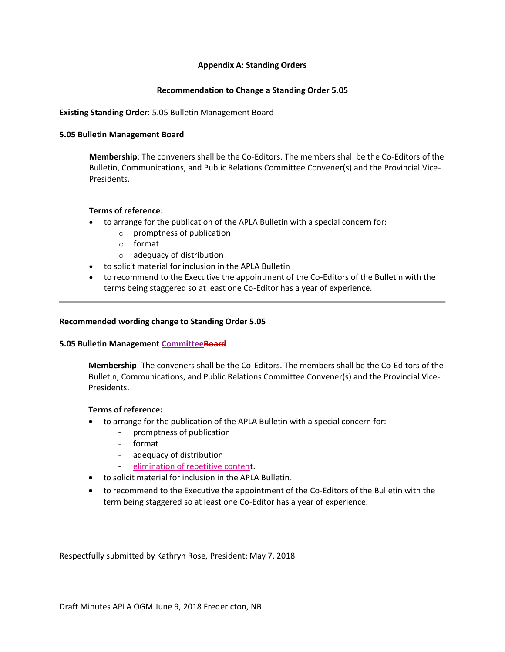### **Appendix A: Standing Orders**

### **Recommendation to Change a Standing Order 5.05**

### **Existing Standing Order**: 5.05 Bulletin Management Board

### **5.05 Bulletin Management Board**

**Membership**: The conveners shall be the Co-Editors. The members shall be the Co-Editors of the Bulletin, Communications, and Public Relations Committee Convener(s) and the Provincial Vice-Presidents.

### **Terms of reference:**

- to arrange for the publication of the APLA Bulletin with a special concern for:
	- o promptness of publication
	- o format
	- o adequacy of distribution
- to solicit material for inclusion in the APLA Bulletin
- to recommend to the Executive the appointment of the Co-Editors of the Bulletin with the terms being staggered so at least one Co-Editor has a year of experience.

### **Recommended wording change to Standing Order 5.05**

#### **5.05 Bulletin Management CommitteeBoard**

**Membership**: The conveners shall be the Co-Editors. The members shall be the Co-Editors of the Bulletin, Communications, and Public Relations Committee Convener(s) and the Provincial Vice-Presidents.

#### **Terms of reference:**

- to arrange for the publication of the APLA Bulletin with a special concern for:
	- promptness of publication
	- format
	- adequacy of distribution
	- elimination of repetitive content.
- to solicit material for inclusion in the APLA Bulletin.
- to recommend to the Executive the appointment of the Co-Editors of the Bulletin with the term being staggered so at least one Co-Editor has a year of experience.

Respectfully submitted by Kathryn Rose, President: May 7, 2018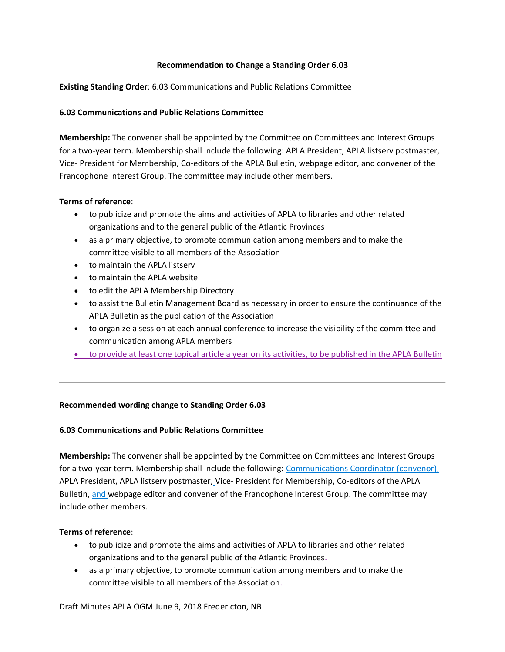# **Recommendation to Change a Standing Order 6.03**

**Existing Standing Order**: 6.03 Communications and Public Relations Committee

# **6.03 Communications and Public Relations Committee**

**Membership:** The convener shall be appointed by the Committee on Committees and Interest Groups for a two-year term. Membership shall include the following: APLA President, APLA listserv postmaster, Vice- President for Membership, Co-editors of the APLA Bulletin, webpage editor, and convener of the Francophone Interest Group. The committee may include other members.

# **Terms of reference**:

- to publicize and promote the aims and activities of APLA to libraries and other related organizations and to the general public of the Atlantic Provinces
- as a primary objective, to promote communication among members and to make the committee visible to all members of the Association
- to maintain the APLA listserv
- to maintain the APLA website
- to edit the APLA Membership Directory
- to assist the Bulletin Management Board as necessary in order to ensure the continuance of the APLA Bulletin as the publication of the Association
- to organize a session at each annual conference to increase the visibility of the committee and communication among APLA members
- to provide at least one topical article a year on its activities, to be published in the APLA Bulletin

# **Recommended wording change to Standing Order 6.03**

# **6.03 Communications and Public Relations Committee**

**Membership:** The convener shall be appointed by the Committee on Committees and Interest Groups for a two-year term. Membership shall include the following: Communications Coordinator (convenor), APLA President, APLA listserv postmaster, Vice- President for Membership, Co-editors of the APLA Bulletin, and webpage editor and convener of the Francophone Interest Group. The committee may include other members.

# **Terms of reference**:

- to publicize and promote the aims and activities of APLA to libraries and other related organizations and to the general public of the Atlantic Provinces.
- as a primary objective, to promote communication among members and to make the committee visible to all members of the Association.

Draft Minutes APLA OGM June 9, 2018 Fredericton, NB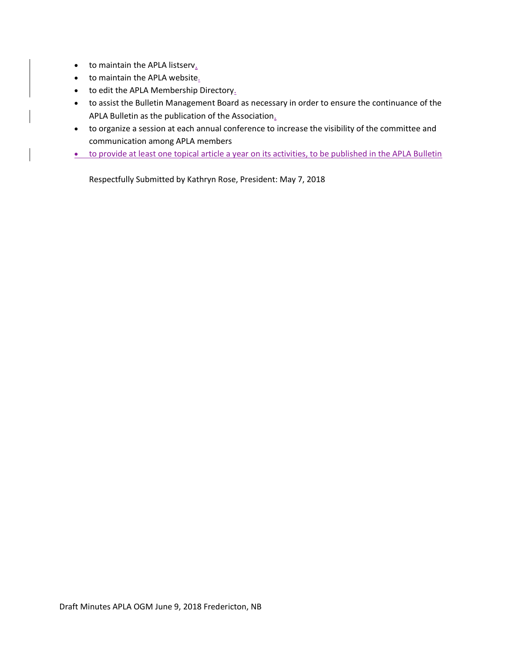- to maintain the APLA listserv.
- to maintain the APLA website.
- to edit the APLA Membership Directory.
- to assist the Bulletin Management Board as necessary in order to ensure the continuance of the APLA Bulletin as the publication of the Association.
- to organize a session at each annual conference to increase the visibility of the committee and communication among APLA members
- to provide at least one topical article a year on its activities, to be published in the APLA Bulletin

Respectfully Submitted by Kathryn Rose, President: May 7, 2018